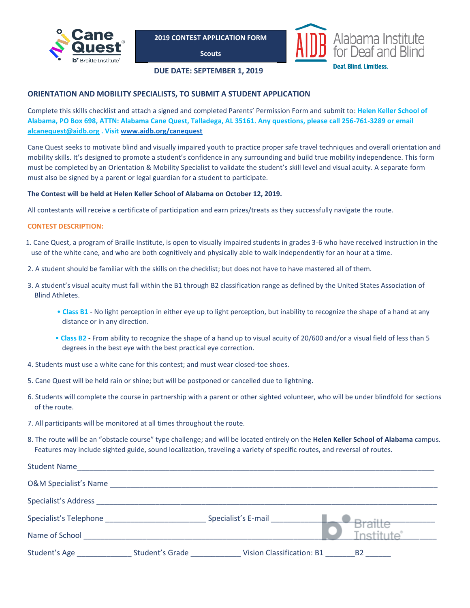

**Scouts**



### **DUE DATE: SEPTEMBER 1, 2019**

## **ORIENTATION AND MOBILITY SPECIALISTS, TO SUBMIT A STUDENT APPLICATION**

Complete this skills checklist and attach a signed and completed Parents' Permission Form and submit to: **Helen Keller School of Alabama, PO Box 698, ATTN: Alabama Cane Quest, Talladega, AL 35161. Any questions, please call 256-761-3289 or email [alcanequest@aidb.org](mailto:alcanequest@aidb.org) . Visit [www.aidb.org/canequest](http://www.aidb.org/canequest)**

Cane Quest seeks to motivate blind and visually impaired youth to practice proper safe travel techniques and overall orientation and mobility skills. It's designed to promote a student's confidence in any surrounding and build true mobility independence. This form must be completed by an Orientation & Mobility Specialist to validate the student's skill level and visual acuity. A separate form must also be signed by a parent or legal guardian for a student to participate.

### **The Contest will be held at Helen Keller School of Alabama on October 12, 2019.**

All contestants will receive a certificate of participation and earn prizes/treats as they successfully navigate the route.

### **CONTEST DESCRIPTION:**

- 1. Cane Quest, a program of Braille Institute, is open to visually impaired students in grades 3-6 who have received instruction in the use of the white cane, and who are both cognitively and physically able to walk independently for an hour at a time.
- 2. A student should be familiar with the skills on the checklist; but does not have to have mastered all of them.
- 3. A student's visual acuity must fall within the B1 through B2 classification range as defined by the United States Association of Blind Athletes.
	- **Class B1** No light perception in either eye up to light perception, but inability to recognize the shape of a hand at any distance or in any direction.
	- **Class B2** From ability to recognize the shape of a hand up to visual acuity of 20/600 and/or a visual field of less than 5 degrees in the best eye with the best practical eye correction.
- 4. Students must use a white cane for this contest; and must wear closed-toe shoes.
- 5. Cane Quest will be held rain or shine; but will be postponed or cancelled due to lightning.
- 6. Students will complete the course in partnership with a parent or other sighted volunteer, who will be under blindfold for sections of the route.
- 7. All participants will be monitored at all times throughout the route.
- 8. The route will be an "obstacle course" type challenge; and will be located entirely on the **Helen Keller School of Alabama** campus. Features may include sighted guide, sound localization, traveling a variety of specific routes, and reversal of routes.

| <b>Student Name</b>              |                 |                                  |           |
|----------------------------------|-----------------|----------------------------------|-----------|
| <b>O&amp;M Specialist's Name</b> |                 |                                  |           |
| Specialist's Address             |                 |                                  |           |
|                                  |                 | Specialist's E-mail              |           |
| Name of School                   |                 |                                  |           |
| Student's Age                    | Student's Grade | <b>Vision Classification: B1</b> | <b>B2</b> |